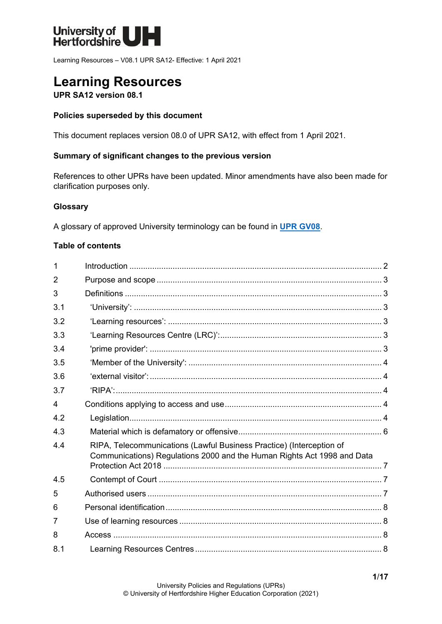

Learning Resources – V08.1 UPR SA12- Effective: 1 April 2021

# **Learning Resources**

**UPR SA12 version 08.1**

### **Policies superseded by this document**

This document replaces version 08.0 of UPR SA12, with effect from 1 April 2021.

### **Summary of significant changes to the previous version**

References to other UPRs have been updated. Minor amendments have also been made for clarification purposes only.

#### **Glossary**

A glossary of approved University terminology can be found in **[UPR GV08](https://www.herts.ac.uk/__data/assets/pdf_file/0020/233057/GV08-Glossary-of-Terminology.pdf)**.

### **Table of contents**

| 1              |                                                                                                                                                 |  |
|----------------|-------------------------------------------------------------------------------------------------------------------------------------------------|--|
| $\overline{2}$ |                                                                                                                                                 |  |
| 3              |                                                                                                                                                 |  |
| 3.1            |                                                                                                                                                 |  |
| 3.2            |                                                                                                                                                 |  |
| 3.3            |                                                                                                                                                 |  |
| 3.4            |                                                                                                                                                 |  |
| 3.5            |                                                                                                                                                 |  |
| 3.6            |                                                                                                                                                 |  |
| 3.7            |                                                                                                                                                 |  |
| 4              |                                                                                                                                                 |  |
| 4.2            |                                                                                                                                                 |  |
| 4.3            |                                                                                                                                                 |  |
| 4.4            | RIPA, Telecommunications (Lawful Business Practice) (Interception of<br>Communications) Regulations 2000 and the Human Rights Act 1998 and Data |  |
|                |                                                                                                                                                 |  |
| 4.5            |                                                                                                                                                 |  |
| 5              |                                                                                                                                                 |  |
| 6              |                                                                                                                                                 |  |
| 7              |                                                                                                                                                 |  |
| 8              |                                                                                                                                                 |  |
| 8.1            |                                                                                                                                                 |  |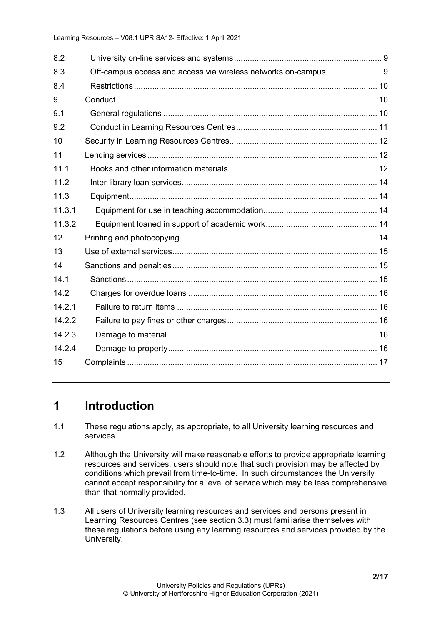| 8.2    |                                                                 |  |
|--------|-----------------------------------------------------------------|--|
| 8.3    | Off-campus access and access via wireless networks on-campus  9 |  |
| 8.4    |                                                                 |  |
| 9      |                                                                 |  |
| 9.1    |                                                                 |  |
| 9.2    |                                                                 |  |
| 10     |                                                                 |  |
| 11     |                                                                 |  |
| 11.1   |                                                                 |  |
| 11.2   |                                                                 |  |
| 11.3   |                                                                 |  |
| 11.3.1 |                                                                 |  |
| 11.3.2 |                                                                 |  |
| 12     |                                                                 |  |
| 13     |                                                                 |  |
| 14     |                                                                 |  |
| 14.1   |                                                                 |  |
| 14.2   |                                                                 |  |
| 14.2.1 |                                                                 |  |
| 14.2.2 |                                                                 |  |
| 14.2.3 |                                                                 |  |
| 14.2.4 |                                                                 |  |
| 15     |                                                                 |  |
|        |                                                                 |  |

# <span id="page-1-0"></span>**1 Introduction**

- 1.1 These regulations apply, as appropriate, to all University learning resources and services.
- 1.2 Although the University will make reasonable efforts to provide appropriate learning resources and services, users should note that such provision may be affected by conditions which prevail from time-to-time. In such circumstances the University cannot accept responsibility for a level of service which may be less comprehensive than that normally provided.
- 1.3 All users of University learning resources and services and persons present in Learning Resources Centres (see section 3.3) must familiarise themselves with these regulations before using any learning resources and services provided by the University.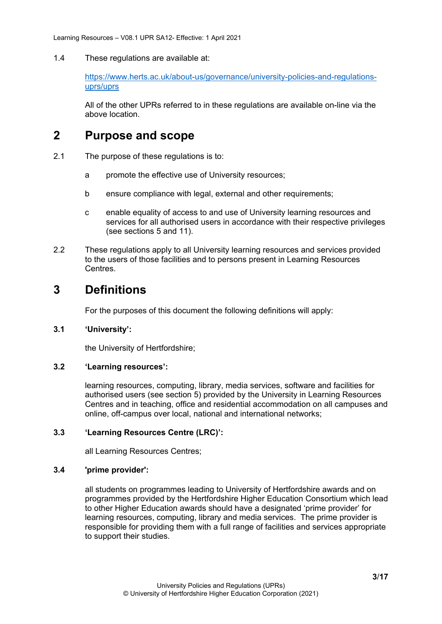1.4 These regulations are available at:

[https://www.herts.ac.uk/about-us/governance/university-policies-and-regulations](https://www.herts.ac.uk/about-us/governance/university-policies-and-regulations-uprs/uprs)[uprs/uprs](https://www.herts.ac.uk/about-us/governance/university-policies-and-regulations-uprs/uprs)

All of the other UPRs referred to in these regulations are available on-line via the above location.

### <span id="page-2-0"></span>**2 Purpose and scope**

- 2.1 The purpose of these regulations is to:
	- a promote the effective use of University resources;
	- b ensure compliance with legal, external and other requirements;
	- c enable equality of access to and use of University learning resources and services for all authorised users in accordance with their respective privileges (see sections 5 and 11).
- 2.2 These regulations apply to all University learning resources and services provided to the users of those facilities and to persons present in Learning Resources Centres.

# <span id="page-2-1"></span>**3 Definitions**

For the purposes of this document the following definitions will apply:

### <span id="page-2-2"></span>**3.1 'University':**

the University of Hertfordshire;

### <span id="page-2-3"></span>**3.2 'Learning resources':**

learning resources, computing, library, media services, software and facilities for authorised users (see section 5) provided by the University in Learning Resources Centres and in teaching, office and residential accommodation on all campuses and online, off-campus over local, national and international networks;

### <span id="page-2-4"></span>**3.3 'Learning Resources Centre (LRC)':**

all Learning Resources Centres;

### <span id="page-2-5"></span>**3.4 'prime provider':**

all students on programmes leading to University of Hertfordshire awards and on programmes provided by the Hertfordshire Higher Education Consortium which lead to other Higher Education awards should have a designated 'prime provider' for learning resources, computing, library and media services. The prime provider is responsible for providing them with a full range of facilities and services appropriate to support their studies.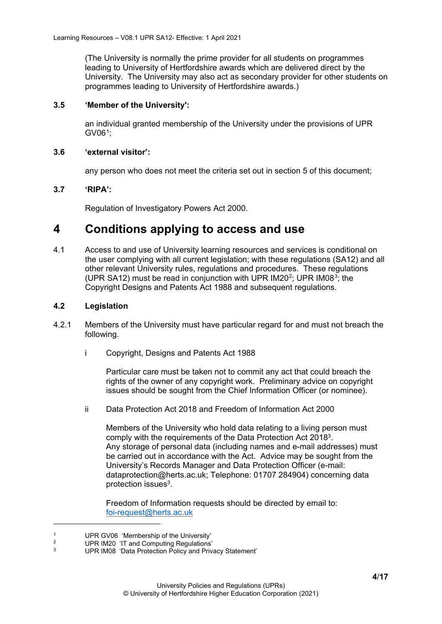(The University is normally the prime provider for all students on programmes leading to University of Hertfordshire awards which are delivered direct by the University. The University may also act as secondary provider for other students on programmes leading to University of Hertfordshire awards.)

### <span id="page-3-0"></span>**3.5 'Member of the University':**

an individual granted membership of the University under the provisions of UPR GV06[1](#page-3-5);

#### <span id="page-3-1"></span>**3.6 'external visitor':**

any person who does not meet the criteria set out in section 5 of this document;

### <span id="page-3-2"></span>**3.7 'RIPA':**

Regulation of Investigatory Powers Act 2000.

### <span id="page-3-3"></span>**4 Conditions applying to access and use**

4.1 Access to and use of University learning resources and services is conditional on the user complying with all current legislation; with these regulations (SA12) and all other relevant University rules, regulations and procedures. These regulations (UPR SA12) must be read in conjunction with UPR IM20[2](#page-3-6); UPR IM08[3;](#page-3-7) the Copyright Designs and Patents Act 1988 and subsequent regulations.

### <span id="page-3-4"></span>**4.2 Legislation**

- 4.2.1 Members of the University must have particular regard for and must not breach the following.
	- i Copyright, Designs and Patents Act 1988

Particular care must be taken not to commit any act that could breach the rights of the owner of any copyright work. Preliminary advice on copyright issues should be sought from the Chief Information Officer (or nominee).

ii Data Protection Act 2018 and Freedom of Information Act 2000

Members of the University who hold data relating to a living person must comply with the requirements of the Data Protection Act 20183. Any storage of personal data (including names and e-mail addresses) must be carried out in accordance with the Act. Advice may be sought from the University's Records Manager and Data Protection Officer (e-mail: dataprotection@herts.ac.uk; Telephone: 01707 284904) concerning data protection issues3.

Freedom of Information requests should be directed by email to: [foi-request@herts.ac.uk](mailto:foi-request@herts.ac.uk)

<span id="page-3-5"></span><sup>&</sup>lt;sup>1</sup> UPR GV06 'Membership of the University'<br><sup>2</sup> UPB J199 <sup>UT</sup> and Quantities Permittianal

<span id="page-3-6"></span><sup>&</sup>lt;sup>2</sup> UPR IM20 'IT and Computing Regulations'

<span id="page-3-7"></span>UPR IM08 'Data Protection Policy and Privacy Statement'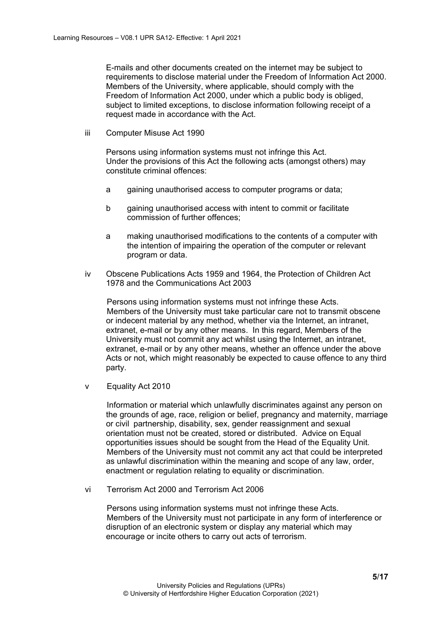E-mails and other documents created on the internet may be subject to requirements to disclose material under the Freedom of Information Act 2000. Members of the University, where applicable, should comply with the Freedom of Information Act 2000, under which a public body is obliged, subject to limited exceptions, to disclose information following receipt of a request made in accordance with the Act.

iii Computer Misuse Act 1990

Persons using information systems must not infringe this Act. Under the provisions of this Act the following acts (amongst others) may constitute criminal offences:

- a gaining unauthorised access to computer programs or data;
- b gaining unauthorised access with intent to commit or facilitate commission of further offences;
- a making unauthorised modifications to the contents of a computer with the intention of impairing the operation of the computer or relevant program or data.
- iv Obscene Publications Acts 1959 and 1964, the Protection of Children Act 1978 and the Communications Act 2003

Persons using information systems must not infringe these Acts. Members of the University must take particular care not to transmit obscene or indecent material by any method, whether via the Internet, an intranet, extranet, e-mail or by any other means. In this regard, Members of the University must not commit any act whilst using the Internet, an intranet, extranet, e-mail or by any other means, whether an offence under the above Acts or not, which might reasonably be expected to cause offence to any third party.

v Equality Act 2010

Information or material which unlawfully discriminates against any person on the grounds of age, race, religion or belief, pregnancy and maternity, marriage or civil partnership, disability, sex, gender reassignment and sexual orientation must not be created, stored or distributed. Advice on Equal opportunities issues should be sought from the Head of the Equality Unit. Members of the University must not commit any act that could be interpreted as unlawful discrimination within the meaning and scope of any law, order, enactment or regulation relating to equality or discrimination.

vi Terrorism Act 2000 and Terrorism Act 2006

Persons using information systems must not infringe these Acts. Members of the University must not participate in any form of interference or disruption of an electronic system or display any material which may encourage or incite others to carry out acts of terrorism.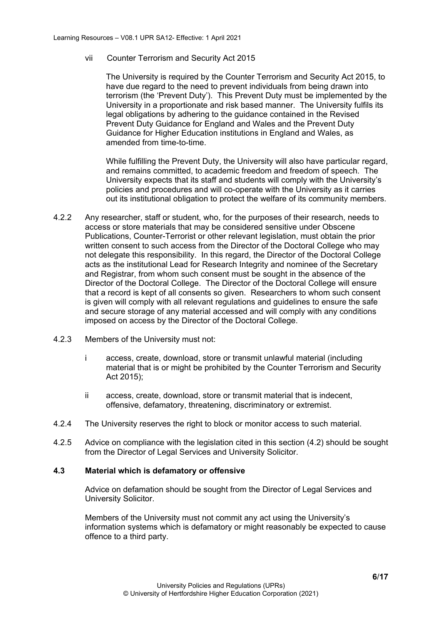vii Counter Terrorism and Security Act 2015

The University is required by the Counter Terrorism and Security Act 2015, to have due regard to the need to prevent individuals from being drawn into terrorism (the 'Prevent Duty'). This Prevent Duty must be implemented by the University in a proportionate and risk based manner. The University fulfils its legal obligations by adhering to the guidance contained in the Revised Prevent Duty Guidance for England and Wales and the Prevent Duty Guidance for Higher Education institutions in England and Wales, as amended from time-to-time.

While fulfilling the Prevent Duty, the University will also have particular regard, and remains committed, to academic freedom and freedom of speech. The University expects that its staff and students will comply with the University's policies and procedures and will co-operate with the University as it carries out its institutional obligation to protect the welfare of its community members.

- 4.2.2 Any researcher, staff or student, who, for the purposes of their research, needs to access or store materials that may be considered sensitive under Obscene Publications, Counter-Terrorist or other relevant legislation, must obtain the prior written consent to such access from the Director of the Doctoral College who may not delegate this responsibility. In this regard, the Director of the Doctoral College acts as the institutional Lead for Research Integrity and nominee of the Secretary and Registrar, from whom such consent must be sought in the absence of the Director of the Doctoral College. The Director of the Doctoral College will ensure that a record is kept of all consents so given. Researchers to whom such consent is given will comply with all relevant regulations and guidelines to ensure the safe and secure storage of any material accessed and will comply with any conditions imposed on access by the Director of the Doctoral College.
- 4.2.3 Members of the University must not:
	- i access, create, download, store or transmit unlawful material (including material that is or might be prohibited by the Counter Terrorism and Security Act 2015);
	- ii access, create, download, store or transmit material that is indecent, offensive, defamatory, threatening, discriminatory or extremist.
- 4.2.4 The University reserves the right to block or monitor access to such material.
- 4.2.5 Advice on compliance with the legislation cited in this section (4.2) should be sought from the Director of Legal Services and University Solicitor.

#### <span id="page-5-0"></span>**4.3 Material which is defamatory or offensive**

Advice on defamation should be sought from the Director of Legal Services and University Solicitor.

Members of the University must not commit any act using the University's information systems which is defamatory or might reasonably be expected to cause offence to a third party.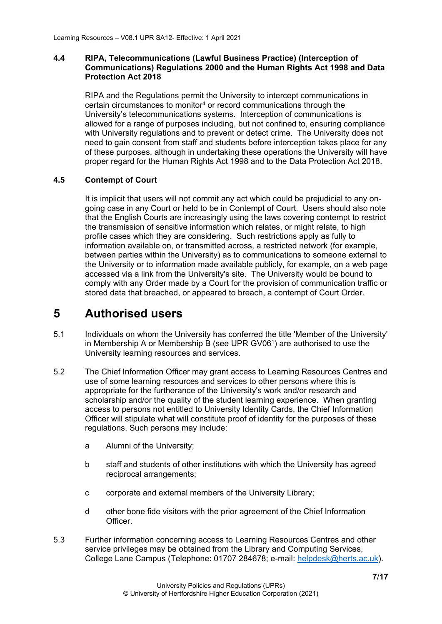### <span id="page-6-0"></span>**4.4 RIPA, Telecommunications (Lawful Business Practice) (Interception of Communications) Regulations 2000 and the Human Rights Act 1998 and Data Protection Act 2018**

RIPA and the Regulations permit the University to intercept communications in certain circumstances to monitor4 or record communications through the University's telecommunications systems. Interception of communications is allowed for a range of purposes including, but not confined to, ensuring compliance with University regulations and to prevent or detect crime. The University does not need to gain consent from staff and students before interception takes place for any of these purposes, although in undertaking these operations the University will have proper regard for the Human Rights Act 1998 and to the Data Protection Act 2018.

### <span id="page-6-1"></span>**4.5 Contempt of Court**

It is implicit that users will not commit any act which could be prejudicial to any ongoing case in any Court or held to be in Contempt of Court. Users should also note that the English Courts are increasingly using the laws covering contempt to restrict the transmission of sensitive information which relates, or might relate, to high profile cases which they are considering. Such restrictions apply as fully to information available on, or transmitted across, a restricted network (for example, between parties within the University) as to communications to someone external to the University or to information made available publicly, for example, on a web page accessed via a link from the University's site. The University would be bound to comply with any Order made by a Court for the provision of communication traffic or stored data that breached, or appeared to breach, a contempt of Court Order.

### <span id="page-6-2"></span>**5 Authorised users**

- 5.1 Individuals on whom the University has conferred the title 'Member of the University' in Membership A or Membership B (see UPR GV061) are authorised to use the University learning resources and services.
- 5.2 The Chief Information Officer may grant access to Learning Resources Centres and use of some learning resources and services to other persons where this is appropriate for the furtherance of the University's work and/or research and scholarship and/or the quality of the student learning experience. When granting access to persons not entitled to University Identity Cards, the Chief Information Officer will stipulate what will constitute proof of identity for the purposes of these regulations. Such persons may include:
	- a Alumni of the University;
	- b staff and students of other institutions with which the University has agreed reciprocal arrangements;
	- c corporate and external members of the University Library;
	- d other bone fide visitors with the prior agreement of the Chief Information Officer.
- 5.3 Further information concerning access to Learning Resources Centres and other service privileges may be obtained from the Library and Computing Services, College Lane Campus (Telephone: 01707 284678; e-mail: [helpdesk@herts.ac.uk\)](mailto:helpdesk@herts.ac.uk).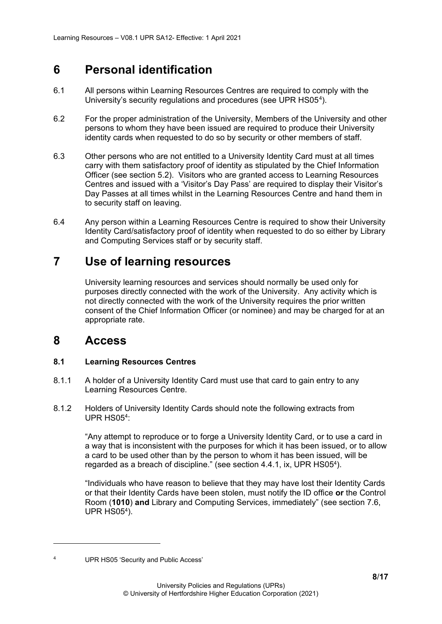# <span id="page-7-0"></span>**6 Personal identification**

- 6.1 All persons within Learning Resources Centres are required to comply with the University's security regulations and procedures (see UPR HS05[4\)](#page-7-4).
- 6.2 For the proper administration of the University, Members of the University and other persons to whom they have been issued are required to produce their University identity cards when requested to do so by security or other members of staff.
- 6.3 Other persons who are not entitled to a University Identity Card must at all times carry with them satisfactory proof of identity as stipulated by the Chief Information Officer (see section 5.2). Visitors who are granted access to Learning Resources Centres and issued with a 'Visitor's Day Pass' are required to display their Visitor's Day Passes at all times whilst in the Learning Resources Centre and hand them in to security staff on leaving.
- 6.4 Any person within a Learning Resources Centre is required to show their University Identity Card/satisfactory proof of identity when requested to do so either by Library and Computing Services staff or by security staff.

## <span id="page-7-1"></span>**7 Use of learning resources**

University learning resources and services should normally be used only for purposes directly connected with the work of the University. Any activity which is not directly connected with the work of the University requires the prior written consent of the Chief Information Officer (or nominee) and may be charged for at an appropriate rate.

### <span id="page-7-2"></span>**8 Access**

### <span id="page-7-3"></span>**8.1 Learning Resources Centres**

- 8.1.1 A holder of a University Identity Card must use that card to gain entry to any Learning Resources Centre.
- 8.1.2 Holders of University Identity Cards should note the following extracts from UPR HS054:

"Any attempt to reproduce or to forge a University Identity Card, or to use a card in a way that is inconsistent with the purposes for which it has been issued, or to allow a card to be used other than by the person to whom it has been issued, will be regarded as a breach of discipline." (see section 4.4.1, ix, UPR HS054).

"Individuals who have reason to believe that they may have lost their Identity Cards or that their Identity Cards have been stolen, must notify the ID office **or** the Control Room (**1010**) **and** Library and Computing Services, immediately" (see section 7.6, UPR HS054).

<span id="page-7-4"></span>

<sup>4</sup> UPR HS05 'Security and Public Access'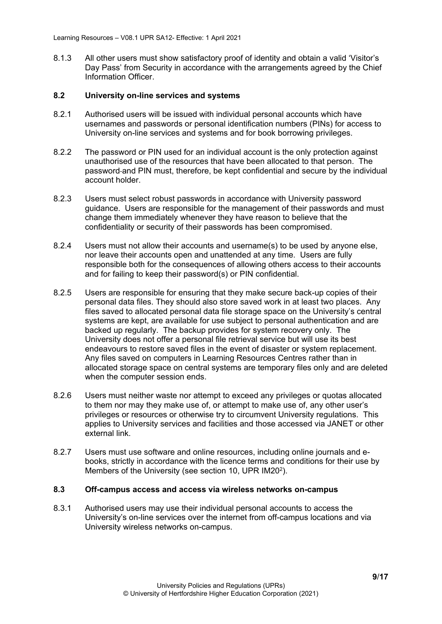8.1.3 All other users must show satisfactory proof of identity and obtain a valid 'Visitor's Day Pass' from Security in accordance with the arrangements agreed by the Chief Information Officer.

### <span id="page-8-0"></span>**8.2 University on-line services and systems**

- 8.2.1 Authorised users will be issued with individual personal accounts which have usernames and passwords or personal identification numbers (PINs) for access to University on-line services and systems and for book borrowing privileges.
- 8.2.2 The password or PIN used for an individual account is the only protection against unauthorised use of the resources that have been allocated to that person. The password and PIN must, therefore, be kept confidential and secure by the individual account holder.
- 8.2.3 Users must select robust passwords in accordance with University password guidance. Users are responsible for the management of their passwords and must change them immediately whenever they have reason to believe that the confidentiality or security of their passwords has been compromised.
- 8.2.4 Users must not allow their accounts and username(s) to be used by anyone else, nor leave their accounts open and unattended at any time. Users are fully responsible both for the consequences of allowing others access to their accounts and for failing to keep their password(s) or PIN confidential.
- 8.2.5 Users are responsible for ensuring that they make secure back-up copies of their personal data files. They should also store saved work in at least two places. Any files saved to allocated personal data file storage space on the University's central systems are kept, are available for use subject to personal authentication and are backed up regularly. The backup provides for system recovery only. The University does not offer a personal file retrieval service but will use its best endeavours to restore saved files in the event of disaster or system replacement. Any files saved on computers in Learning Resources Centres rather than in allocated storage space on central systems are temporary files only and are deleted when the computer session ends.
- 8.2.6 Users must neither waste nor attempt to exceed any privileges or quotas allocated to them nor may they make use of, or attempt to make use of, any other user's privileges or resources or otherwise try to circumvent University regulations. This applies to University services and facilities and those accessed via JANET or other external link.
- 8.2.7 Users must use software and online resources, including online journals and ebooks, strictly in accordance with the licence terms and conditions for their use by Members of the University (see section 10, UPR IM202).

#### <span id="page-8-1"></span>**8.3 Off-campus access and access via wireless networks on-campus**

8.3.1 Authorised users may use their individual personal accounts to access the University's on-line services over the internet from off-campus locations and via University wireless networks on-campus.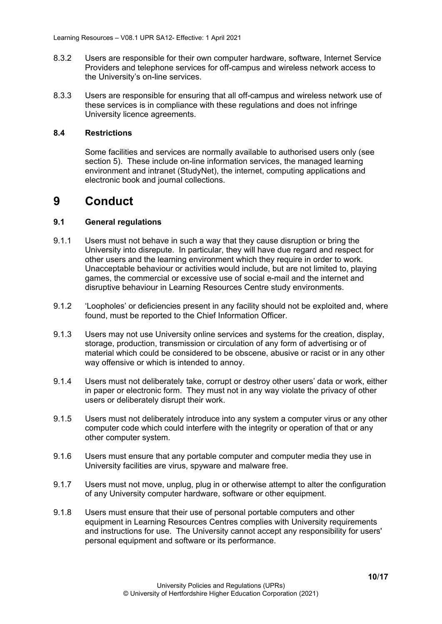- 8.3.2 Users are responsible for their own computer hardware, software, Internet Service Providers and telephone services for off-campus and wireless network access to the University's on-line services.
- 8.3.3 Users are responsible for ensuring that all off-campus and wireless network use of these services is in compliance with these regulations and does not infringe University licence agreements.

#### <span id="page-9-0"></span>**8.4 Restrictions**

Some facilities and services are normally available to authorised users only (see section 5). These include on-line information services, the managed learning environment and intranet (StudyNet), the internet, computing applications and electronic book and journal collections.

### <span id="page-9-1"></span>**9 Conduct**

#### <span id="page-9-2"></span>**9.1 General regulations**

- 9.1.1 Users must not behave in such a way that they cause disruption or bring the University into disrepute. In particular, they will have due regard and respect for other users and the learning environment which they require in order to work. Unacceptable behaviour or activities would include, but are not limited to, playing games, the commercial or excessive use of social e-mail and the internet and disruptive behaviour in Learning Resources Centre study environments.
- 9.1.2 'Loopholes' or deficiencies present in any facility should not be exploited and, where found, must be reported to the Chief Information Officer.
- 9.1.3 Users may not use University online services and systems for the creation, display, storage, production, transmission or circulation of any form of advertising or of material which could be considered to be obscene, abusive or racist or in any other way offensive or which is intended to annoy.
- 9.1.4 Users must not deliberately take, corrupt or destroy other users' data or work, either in paper or electronic form. They must not in any way violate the privacy of other users or deliberately disrupt their work.
- 9.1.5 Users must not deliberately introduce into any system a computer virus or any other computer code which could interfere with the integrity or operation of that or any other computer system.
- 9.1.6 Users must ensure that any portable computer and computer media they use in University facilities are virus, spyware and malware free.
- 9.1.7 Users must not move, unplug, plug in or otherwise attempt to alter the configuration of any University computer hardware, software or other equipment.
- 9.1.8 Users must ensure that their use of personal portable computers and other equipment in Learning Resources Centres complies with University requirements and instructions for use. The University cannot accept any responsibility for users' personal equipment and software or its performance.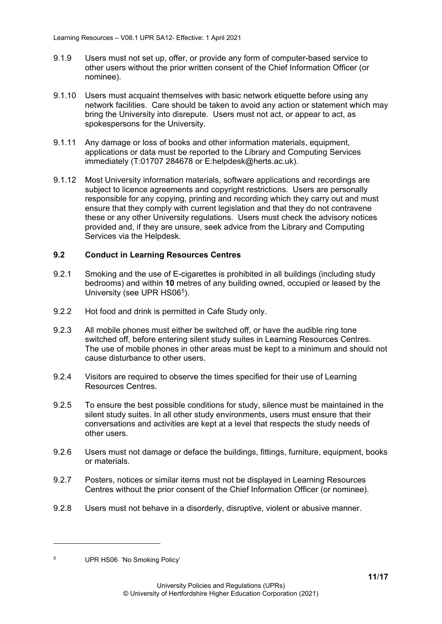- 9.1.9 Users must not set up, offer, or provide any form of computer-based service to other users without the prior written consent of the Chief Information Officer (or nominee).
- 9.1.10 Users must acquaint themselves with basic network etiquette before using any network facilities. Care should be taken to avoid any action or statement which may bring the University into disrepute. Users must not act, or appear to act, as spokespersons for the University.
- 9.1.11 Any damage or loss of books and other information materials, equipment, applications or data must be reported to the Library and Computing Services immediately (T:01707 284678 or E:helpdesk@herts.ac.uk).
- 9.1.12 Most University information materials, software applications and recordings are subject to licence agreements and copyright restrictions. Users are personally responsible for any copying, printing and recording which they carry out and must ensure that they comply with current legislation and that they do not contravene these or any other University regulations. Users must check the advisory notices provided and, if they are unsure, seek advice from the Library and Computing Services via the Helpdesk.

### <span id="page-10-0"></span>**9.2 Conduct in Learning Resources Centres**

- 9.2.1 Smoking and the use of E-cigarettes is prohibited in all buildings (including study bedrooms) and within **10** metres of any building owned, occupied or leased by the University (see UPR HS06<sup>5</sup>).
- 9.2.2 Hot food and drink is permitted in Cafe Study only.
- 9.2.3 All mobile phones must either be switched off, or have the audible ring tone switched off, before entering silent study suites in Learning Resources Centres. The use of mobile phones in other areas must be kept to a minimum and should not cause disturbance to other users.
- 9.2.4 Visitors are required to observe the times specified for their use of Learning Resources Centres.
- 9.2.5 To ensure the best possible conditions for study, silence must be maintained in the silent study suites. In all other study environments, users must ensure that their conversations and activities are kept at a level that respects the study needs of other users.
- 9.2.6 Users must not damage or deface the buildings, fittings, furniture, equipment, books or materials.
- 9.2.7 Posters, notices or similar items must not be displayed in Learning Resources Centres without the prior consent of the Chief Information Officer (or nominee).
- 9.2.8 Users must not behave in a disorderly, disruptive, violent or abusive manner.

<span id="page-10-1"></span><sup>5</sup> UPR HS06 'No Smoking Policy'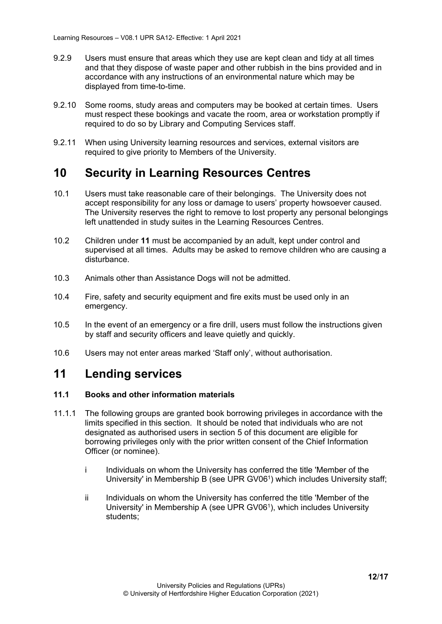- 9.2.9 Users must ensure that areas which they use are kept clean and tidy at all times and that they dispose of waste paper and other rubbish in the bins provided and in accordance with any instructions of an environmental nature which may be displayed from time-to-time.
- 9.2.10 Some rooms, study areas and computers may be booked at certain times. Users must respect these bookings and vacate the room, area or workstation promptly if required to do so by Library and Computing Services staff.
- 9.2.11 When using University learning resources and services, external visitors are required to give priority to Members of the University.

### <span id="page-11-0"></span>**10 Security in Learning Resources Centres**

- 10.1 Users must take reasonable care of their belongings. The University does not accept responsibility for any loss or damage to users' property howsoever caused. The University reserves the right to remove to lost property any personal belongings left unattended in study suites in the Learning Resources Centres.
- 10.2 Children under **11** must be accompanied by an adult, kept under control and supervised at all times. Adults may be asked to remove children who are causing a disturbance.
- 10.3 Animals other than Assistance Dogs will not be admitted.
- 10.4 Fire, safety and security equipment and fire exits must be used only in an emergency.
- 10.5 In the event of an emergency or a fire drill, users must follow the instructions given by staff and security officers and leave quietly and quickly.
- 10.6 Users may not enter areas marked 'Staff only', without authorisation.

### <span id="page-11-1"></span>**11 Lending services**

### <span id="page-11-2"></span>**11.1 Books and other information materials**

- 11.1.1 The following groups are granted book borrowing privileges in accordance with the limits specified in this section. It should be noted that individuals who are not designated as authorised users in section 5 of this document are eligible for borrowing privileges only with the prior written consent of the Chief Information Officer (or nominee).
	- i Individuals on whom the University has conferred the title 'Member of the University' in Membership B (see UPR GV06<sup>1</sup>) which includes University staff;
	- ii Individuals on whom the University has conferred the title 'Member of the University' in Membership A (see UPR GV061), which includes University students;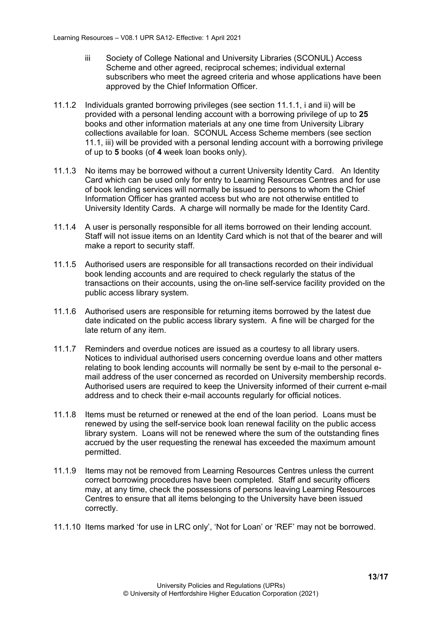- iii Society of College National and University Libraries (SCONUL) Access Scheme and other agreed, reciprocal schemes; individual external subscribers who meet the agreed criteria and whose applications have been approved by the Chief Information Officer.
- 11.1.2 Individuals granted borrowing privileges (see section 11.1.1, i and ii) will be provided with a personal lending account with a borrowing privilege of up to **25** books and other information materials at any one time from University Library collections available for loan. SCONUL Access Scheme members (see section 11.1, iii) will be provided with a personal lending account with a borrowing privilege of up to **5** books (of **4** week loan books only).
- 11.1.3 No items may be borrowed without a current University Identity Card. An Identity Card which can be used only for entry to Learning Resources Centres and for use of book lending services will normally be issued to persons to whom the Chief Information Officer has granted access but who are not otherwise entitled to University Identity Cards. A charge will normally be made for the Identity Card.
- 11.1.4 A user is personally responsible for all items borrowed on their lending account. Staff will not issue items on an Identity Card which is not that of the bearer and will make a report to security staff.
- 11.1.5 Authorised users are responsible for all transactions recorded on their individual book lending accounts and are required to check regularly the status of the transactions on their accounts, using the on-line self-service facility provided on the public access library system.
- 11.1.6 Authorised users are responsible for returning items borrowed by the latest due date indicated on the public access library system. A fine will be charged for the late return of any item.
- 11.1.7 Reminders and overdue notices are issued as a courtesy to all library users. Notices to individual authorised users concerning overdue loans and other matters relating to book lending accounts will normally be sent by e-mail to the personal email address of the user concerned as recorded on University membership records. Authorised users are required to keep the University informed of their current e-mail address and to check their e-mail accounts regularly for official notices.
- 11.1.8 Items must be returned or renewed at the end of the loan period. Loans must be renewed by using the self-service book loan renewal facility on the public access library system. Loans will not be renewed where the sum of the outstanding fines accrued by the user requesting the renewal has exceeded the maximum amount permitted.
- 11.1.9 Items may not be removed from Learning Resources Centres unless the current correct borrowing procedures have been completed. Staff and security officers may, at any time, check the possessions of persons leaving Learning Resources Centres to ensure that all items belonging to the University have been issued correctly.
- 11.1.10 Items marked 'for use in LRC only', 'Not for Loan' or 'REF' may not be borrowed.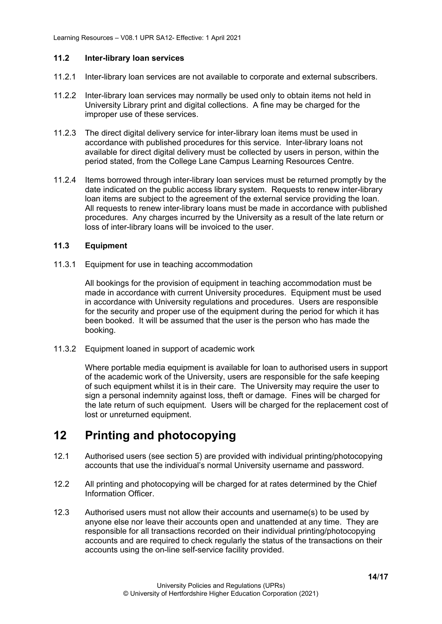#### <span id="page-13-0"></span>**11.2 Inter-library loan services**

- 11.2.1 Inter-library loan services are not available to corporate and external subscribers.
- 11.2.2 Inter-library loan services may normally be used only to obtain items not held in University Library print and digital collections. A fine may be charged for the improper use of these services.
- 11.2.3 The direct digital delivery service for inter-library loan items must be used in accordance with published procedures for this service. Inter-library loans not available for direct digital delivery must be collected by users in person, within the period stated, from the College Lane Campus Learning Resources Centre.
- 11.2.4 Items borrowed through inter-library loan services must be returned promptly by the date indicated on the public access library system. Requests to renew inter-library loan items are subject to the agreement of the external service providing the loan. All requests to renew inter-library loans must be made in accordance with published procedures. Any charges incurred by the University as a result of the late return or loss of inter-library loans will be invoiced to the user.

### <span id="page-13-1"></span>**11.3 Equipment**

<span id="page-13-2"></span>11.3.1 Equipment for use in teaching accommodation

All bookings for the provision of equipment in teaching accommodation must be made in accordance with current University procedures. Equipment must be used in accordance with University regulations and procedures. Users are responsible for the security and proper use of the equipment during the period for which it has been booked. It will be assumed that the user is the person who has made the booking.

<span id="page-13-3"></span>11.3.2 Equipment loaned in support of academic work

Where portable media equipment is available for loan to authorised users in support of the academic work of the University, users are responsible for the safe keeping of such equipment whilst it is in their care. The University may require the user to sign a personal indemnity against loss, theft or damage. Fines will be charged for the late return of such equipment. Users will be charged for the replacement cost of lost or unreturned equipment.

# <span id="page-13-4"></span>**12 Printing and photocopying**

- 12.1 Authorised users (see section 5) are provided with individual printing/photocopying accounts that use the individual's normal University username and password.
- 12.2 All printing and photocopying will be charged for at rates determined by the Chief Information Officer.
- 12.3 Authorised users must not allow their accounts and username(s) to be used by anyone else nor leave their accounts open and unattended at any time. They are responsible for all transactions recorded on their individual printing/photocopying accounts and are required to check regularly the status of the transactions on their accounts using the on-line self-service facility provided.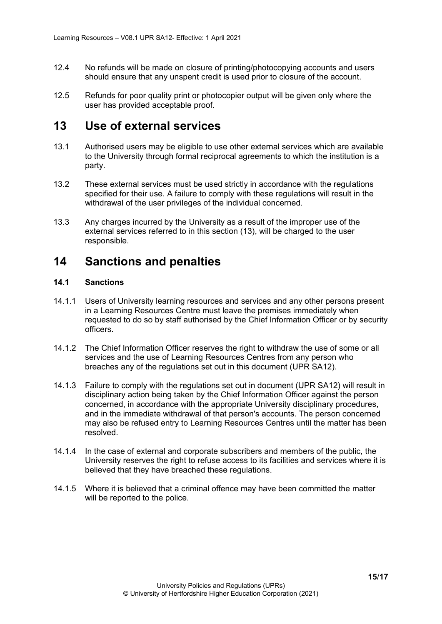- 12.4 No refunds will be made on closure of printing/photocopying accounts and users should ensure that any unspent credit is used prior to closure of the account.
- 12.5 Refunds for poor quality print or photocopier output will be given only where the user has provided acceptable proof.

### <span id="page-14-0"></span>**13 Use of external services**

- 13.1 Authorised users may be eligible to use other external services which are available to the University through formal reciprocal agreements to which the institution is a party.
- 13.2 These external services must be used strictly in accordance with the regulations specified for their use. A failure to comply with these regulations will result in the withdrawal of the user privileges of the individual concerned.
- 13.3 Any charges incurred by the University as a result of the improper use of the external services referred to in this section (13), will be charged to the user responsible.

### <span id="page-14-1"></span>**14 Sanctions and penalties**

### <span id="page-14-2"></span>**14.1 Sanctions**

- 14.1.1 Users of University learning resources and services and any other persons present in a Learning Resources Centre must leave the premises immediately when requested to do so by staff authorised by the Chief Information Officer or by security officers.
- 14.1.2 The Chief Information Officer reserves the right to withdraw the use of some or all services and the use of Learning Resources Centres from any person who breaches any of the regulations set out in this document (UPR SA12).
- 14.1.3 Failure to comply with the regulations set out in document (UPR SA12) will result in disciplinary action being taken by the Chief Information Officer against the person concerned, in accordance with the appropriate University disciplinary procedures, and in the immediate withdrawal of that person's accounts. The person concerned may also be refused entry to Learning Resources Centres until the matter has been resolved.
- 14.1.4 In the case of external and corporate subscribers and members of the public, the University reserves the right to refuse access to its facilities and services where it is believed that they have breached these regulations.
- 14.1.5 Where it is believed that a criminal offence may have been committed the matter will be reported to the police.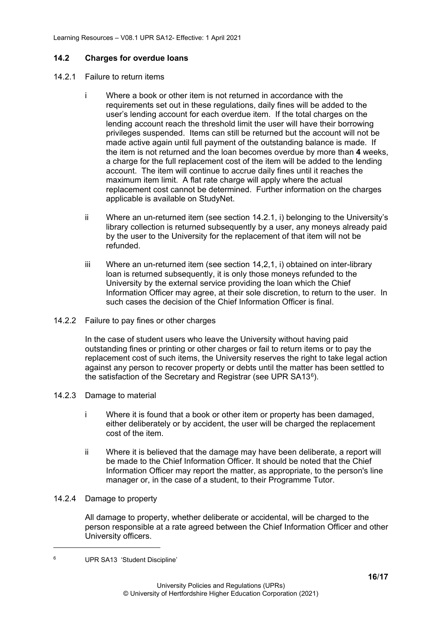#### <span id="page-15-0"></span>**14.2 Charges for overdue loans**

- <span id="page-15-1"></span>14.2.1 Failure to return items
	- i Where a book or other item is not returned in accordance with the requirements set out in these regulations, daily fines will be added to the user's lending account for each overdue item. If the total charges on the lending account reach the threshold limit the user will have their borrowing privileges suspended. Items can still be returned but the account will not be made active again until full payment of the outstanding balance is made. If the item is not returned and the loan becomes overdue by more than **4** weeks, a charge for the full replacement cost of the item will be added to the lending account. The item will continue to accrue daily fines until it reaches the maximum item limit. A flat rate charge will apply where the actual replacement cost cannot be determined. Further information on the charges applicable is available on StudyNet.
	- ii Where an un-returned item (see section 14.2.1, i) belonging to the University's library collection is returned subsequently by a user, any moneys already paid by the user to the University for the replacement of that item will not be refunded.
	- iii Where an un-returned item (see section 14,2,1, i) obtained on inter-library loan is returned subsequently, it is only those moneys refunded to the University by the external service providing the loan which the Chief Information Officer may agree, at their sole discretion, to return to the user. In such cases the decision of the Chief Information Officer is final.
- <span id="page-15-2"></span>14.2.2 Failure to pay fines or other charges

In the case of student users who leave the University without having paid outstanding fines or printing or other charges or fail to return items or to pay the replacement cost of such items, the University reserves the right to take legal action against any person to recover property or debts until the matter has been settled to the satisfaction of the Secretary and Registrar (see UPR SA13[6\)](#page-15-5).

- <span id="page-15-3"></span>14.2.3 Damage to material
	- i Where it is found that a book or other item or property has been damaged, either deliberately or by accident, the user will be charged the replacement cost of the item.
	- ii Where it is believed that the damage may have been deliberate, a report will be made to the Chief Information Officer. It should be noted that the Chief Information Officer may report the matter, as appropriate, to the person's line manager or, in the case of a student, to their Programme Tutor.
- <span id="page-15-4"></span>14.2.4 Damage to property

All damage to property, whether deliberate or accidental, will be charged to the person responsible at a rate agreed between the Chief Information Officer and other University officers.

<span id="page-15-5"></span><sup>6</sup> UPR SA13 'Student Discipline'